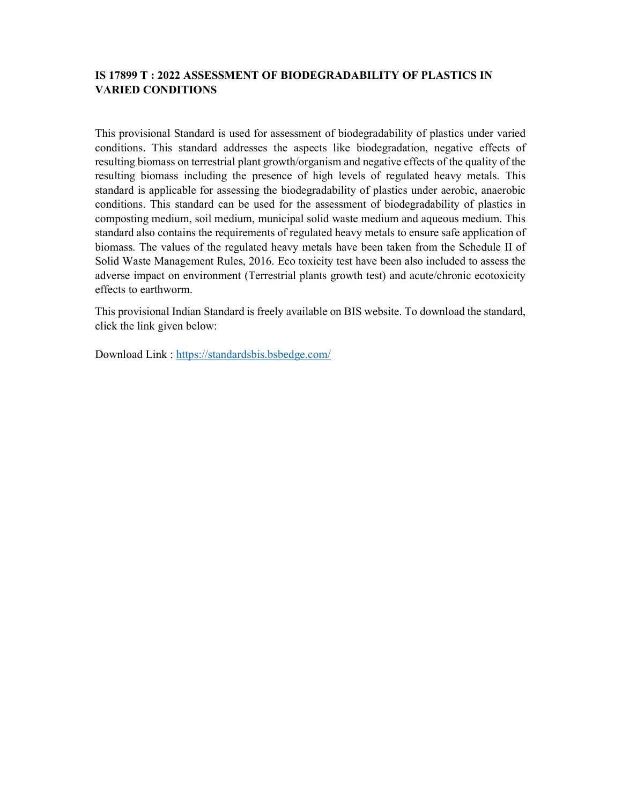## IS 17899 T : 2022 ASSESSMENT OF BIODEGRADABILITY OF PLASTICS IN VARIED CONDITIONS

This provisional Standard is used for assessment of biodegradability of plastics under varied conditions. This standard addresses the aspects like biodegradation, negative effects of resulting biomass on terrestrial plant growth/organism and negative effects of the quality of the resulting biomass including the presence of high levels of regulated heavy metals. This standard is applicable for assessing the biodegradability of plastics under aerobic, anaerobic conditions. This standard can be used for the assessment of biodegradability of plastics in composting medium, soil medium, municipal solid waste medium and aqueous medium. This standard also contains the requirements of regulated heavy metals to ensure safe application of biomass. The values of the regulated heavy metals have been taken from the Schedule II of Solid Waste Management Rules, 2016. Eco toxicity test have been also included to assess the adverse impact on environment (Terrestrial plants growth test) and acute/chronic ecotoxicity effects to earthworm.

This provisional Indian Standard is freely available on BIS website. To download the standard, click the link given below:

Download Link : https://standardsbis.bsbedge.com/